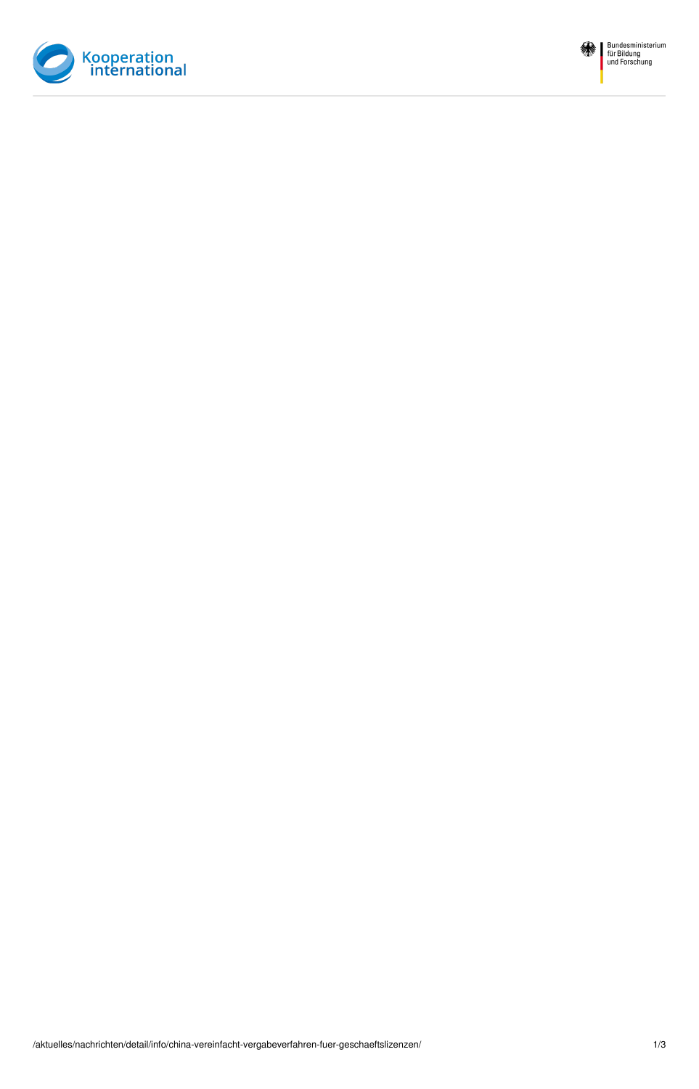

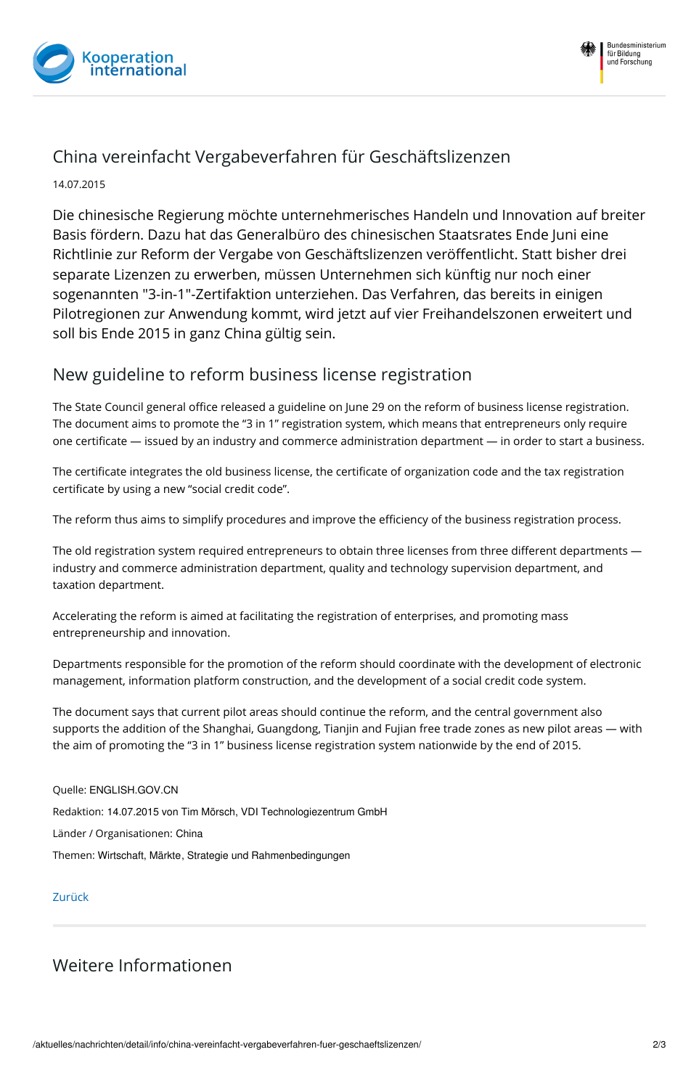



# China vereinfacht Vergabeverfahren für Geschäftslizenzen

14.07.2015

Die chinesische Regierung möchte unternehmerisches Handeln und Innovation auf breiter Basis fördern. Dazu hat das Generalbüro des chinesischen Staatsrates Ende Juni eine Richtlinie zur Reform der Vergabe von Geschäftslizenzen veröffentlicht. Statt bisher drei separate Lizenzen zu erwerben, müssen Unternehmen sich künftig nur noch einer sogenannten "3-in-1"-Zertifaktion unterziehen. Das Verfahren, das bereits in einigen Pilotregionen zur Anwendung kommt, wird jetzt auf vier Freihandelszonen erweitert und soll bis Ende 2015 in ganz China gültig sein.

### New guideline to reform business license registration

The State Council general office released a guideline on June 29 on the reform of business license registration. The document aims to promote the "3 in 1" registration system, which means that entrepreneurs only require one certificate — issued by an industry and commerce administration department — in order to start a business.

The certificate integrates the old business license, the certificate of organization code and the tax registration certificate by using a new "social credit code".

The reform thus aims to simplify procedures and improve the efficiency of the business registration process.

The old registration system required entrepreneurs to obtain three licenses from three different departments industry and commerce administration department, quality and technology supervision department, and taxation department.

Accelerating the reform is aimed at facilitating the registration of enterprises, and promoting mass entrepreneurship and innovation.

Departments responsible for the promotion of the reform should coordinate with the development of electronic management, information platform construction, and the development of a social credit code system.

The document says that current pilot areas should continue the reform, and the central government also supports the addition of the Shanghai, Guangdong, Tianjin and Fujian free trade zones as new pilot areas — with the aim of promoting the "3 in 1" business license registration system nationwide by the end of 2015.

#### Quelle: ENGLISH.GOV.CN

Redaktion: 14.07.2015 von Tim Mörsch, VDI Technologiezentrum GmbH

Länder / Organisationen: China

Themen: Wirtschaft, Märkte, Strategie und Rahmenbedingungen

### [Zurück](https://www.kooperation-international.de/aktuelles/nachrichten/)

## Weitere Informationen